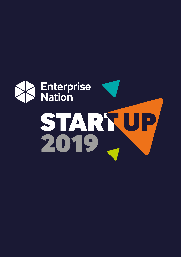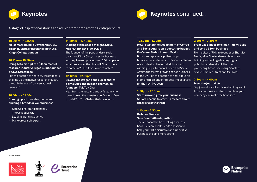



A stage of inspirational stories and advice from some amazing entrepreneurs.

# **10.00am – 10.15am**

**Welcome from Julie Devonshire OBE, director, Entrepreneurship Institute, King's College London**

# **10.15am – 10.50am**

# **Using AI to disrupt the \$45bn market research industry: Tugce Bulut, founder & CEO, Streetbees**

Join this session to hear how Streetbees is shaking up the market research industry through the use of 'conversational research'.

# **10.50am – 11.30am**

# **Coming up with an idea, name and building a brand for your business**

- Kate Collins, brand manager, The Collective UK
- Leading branding agency
- Market research expert

### **POWERED BY:**



Enterprise

**11.30am – 12.10pm** 

**Starting at the speed of flight, Steve Moore, founder, Flight Club** The founder of the popular darts social bar chain, Flight Club, shares his business journey. Now employing over 200 people in locations across the UK and US, with more to come in 2019, Steve is one to watch!

# **12.10pm – 12.50pm**

**Slaying the Dragons one cup of chai at a time: Alex and Rupesh Thomas, cofounders, Tuk Tuk Chai**  Hear from the husband and wife team who turned down the investors on Dragons' Den to build Tuk Tuk Chai on their own terms.

### **12.50pm – 1.30pm**

**How I started the Department of Coffee and Social Affairs on a bootstrap budget: Professor Stefan Allesch-Taylor** 

British entrepreneur, philanthropist, broadcaster, and educator. Professor Stefan Allesch-Taylor also founded the awardwinning Department of Coffee and Social Affairs, the fastest growing coffee business in the UK. Join this session to hear about his story and his pioneering social impact plans for the next five years.

# **1.30pm – 2.10pm**

**Start, run and grow your business Square speaks to start-up owners about the tricks of the trade**

# **2.10pm – 2.50pm**

**Be More Pirate – Sam Coniff Allende, author** The author of the best-selling business book, Be More Pirate, leads a session to help you start a disruptive and innovative business by being more pirate!

# **2.50pm – 3.30pm**

**From Lads' mags to climax – How I built and sold a £20m business**

From editor of FHM to founder of Shortlist Media, Mike Soutar shares his journey building and selling a leading digital publisher and media platform with pioneering brands including ShortList, Stylist, Emerald Street and Mr Hyde.

# **3.30pm – 4.00pm**

**Meet the Journalists**

Top journalists will explain what they want from small business stories and how your company can make the headlines.

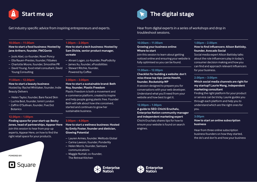

Get industry specific advice from inspiring entrepreneurs and experts. Hear from digital experts in a series of workshops and drop in

# **10.00am – 11.00am**

# **How to start a food business: Hosted by Jane Arthern, founder, FMCGenie**

- Jools Abel, co-founder, Nowt Poncy
- Ella Rauen-Prestes, founder, Fitbakes
- Charlotte Moore, founder, Smoothie PR
- David Young, food retail consultant, David Young Consulting

# **11.00am – 12.00pm**

### **How to start a beauty business**

Hosted by: Rachel Whittaker, founder, Indie Beauty Delivers

- Helen Taylor, founder, Bare Faced Skin
- − Luchia Best, founder, Ismiri London
- − Zaffrin O'Sullivan, founder, Five Dot Botanics

# **12.00pm – 1.00pm**

**Finding space for your start-up: Becky Jones, head of partnerships, Appear Here** Join this session to hear from pop-up experts, Appear Here, on how to find the right retail space for your products.

**POWERED BY:**



# **1.00pm – 2.00pm**

**How to start a tech business: Hosted by Sam Dickie, senior product manager, ucreate**

- Ahrani Logan, co-founder, PeaPodicity
- James Xu, founder, xPossibilities
- Stewart Ritchie, founder, Powered by Coffee

# **2.00pm – 3.00pm**

# **How to start a sustainable brand: Beth Noy, founder, Plastic Freedom**

Plastic Freedom is both a movement and e-commerce platform, created to inspire and help people going plastic free. Founder Beth will talk about how she conceived, started and continues to grow her sustainable business.

# **3.00pm – 4.00pm**

**How to start a wellness business: Hosted by Emily Foster, founder and dietician, Glowing Potential** 

- Lauren Armes, founder, Welltodo Global
- Carina Lawson, founder, Ponderlily
- Helen Morris, founder, Samsara communications
- Maggie Nuttall, co-founder, The Retreat Kitchen





# **The digital stage**

troubleshoot sessions.

# **10.00am – 11.00am**

**Growing your business online: Where to start**

Join this session to learn about getting noticed online and ensuring your website is fully optimised so you can be found.

# **11.00am – 12.00pm**

**Checklist for building a website: don't miss these top tips: Jamie Hewitt, founder, Rocketship WP**

A session designed to prepare you for conversations with your web developer. Understand what you'll need from your website and how best to get it.

# **12.00pm – 1.00pm**

**A guide to SEO: Chichi Eruchalu, Enterprise Nation community manager and independent marketing expert** Chichi Eruchalu shares tips for how to ensure your website is found on search engines.

# **1.00pm – 2.00pm**

# **How to find influencers: Alison Battisby, founder, Avocado Social**

Social media expert Alison Battisby talks about the role influencers play in today's consumer decision making and how you can find and approach relevant influencers for your business.

# **2.00pm – 3.00pm**

# **Which social media channels are right for my startup? Laurie Wang, independent marketing consultant**

Finding the right platform for your product or service can be tricky. Laurie guides you through each platform and help you to understand which are the right ones for you.

# **3.00pm**

# **How to start an online subscription business**

Hear from three online subscription business founders on how they started, the do's and don'ts and how your business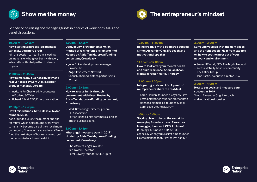

# **Show me the money and the state of the entrepreneur's mindset**

Get advice on raising and managing funds in a series of workshops, talks and panel discussions.

# **10.00am – 10.45am**

# **How starting a purpose led business can make you more profit**

Join this session to hear from a leading online retailer who gives back with every sale and how this helped her business to grow.

# **11.00am – 11.45am**

**How to make my business investment ready: Hosted by Sam Dickie, senior product manager, ucreate**

- Institute for Chartered Accountants in England & Wales
- Richard Fifield, CEO, Enterprise Nation

# **12.00pm – 12.45pm**

# **How I raised funds: Katie Massie-Taylor, founder, Mush**

Katie founded Mush, the number one app for mums which helps mums everywhere to instantly become part of their local mum community. She recently raised over £2m to fund the next stage of business growth. Join the session to hear how she did it.

nterprise

# **1.00pm – 1.45pm**

**Debt, equity, crowdfunding: Which method of raising funds is right for me? Hosted by Adria Tarrida, crowdfunding consultant, Crowdeasy**

- Jules Buker, development manager, **Crowdcube**
- Angel Investment Network
- Sharif Mohamed, fintech partnerships, IWOCA

# **2.00pm – 2.45pm**

**How to access funds through government initiatives. Hosted by Adria Tarrida, crowdfunding consultant, Crowdeasy**

- Mark Brownridge, director general, EIS Association
- Patrick Magee, chief commercial officer, British Business Bank

# **3.00pm – 3.45pm**

**What angel investors want in 2019? Hosted by Adria Tarrida, crowdfunding consultant, Crowdeasy** 

- Chris Barrett, angel investor
- Ben Towers, investor
- Peter Cowley, founder & CEO, Spirit

# **10.00am – 11.00am**

**Being creative with a bootstrap budget: Simon Alexander Ong, life coach and motivational speaker**

# **11.00am – 12.00pm**

**How to look after your mental health and build resilience: Sheri Jacobson, clinical director, Harley Therapy** 

# **12.00pm – 1.00pm**

**Integrating work and life: A panel of mumpreneurs share the real deal:** 

- Karen Holden, founder, a City Law Firm
- Emma Alexander, founder, Mother Bran
- Hannah Feldman, co-founder, Kidadl
- Carol Lovell, founder, STOW

# **1.00pm – 2.00pm**

**Staying clear in chaos: the secret to managing founder stress: Alexandra Isenegger, founder & CEO, Linkilaw?** Running a business is STRESSFUL, especially when you're a first time founder. How to manage that? How to live happy?

# **2.00pm – 3.00pm**

**Surround yourself with the right space and the right people: Hear from experts on how to get the most out of your network and environment** 

- James Uffindell, CEO, The Bright Network
- Alessa McNally, head of community, The Office Group
- Jane Sartin, executive director, BCA

# **3.00pm – 4.00pm**

and motivational speaker

**How to set goals and measure your success in 2019** Simon Alexander Ong, life coach

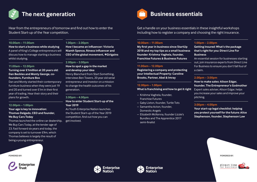

Hear from the entrepreneurs of tomorrow and find out how to enter the Student Start-up of the Year competition.

# **10.00am – 11.00am**

**How to start a business while studying** A panel of King's College entrepreneurs will discuss how to manage starting a business whilst studying.

# **11.00am – 12.00pm**

# **Turning over £1million at 20 years old: Dan Beckles and Monty George, cofounders, Furniture Box**

Dan and Monty started their contemporary furniture business when they were just 19 and 20 and turned over £1m in their first year of trading. Hear their story and their plans for growth.

# **12.00pm – 1.00pm**

# **Your age is key to innovation: Thomas Delgado, CEO and founder, We Buy Cars Today**

Thomas launched the online car dealership, We Buy Cars Today, at the tender age of 23. Fast forward six years and today, the company is set to turnover £9m, which Thomas believes is largely the result of being a young entrepreneur.



# **1.00pm – 2.00pm**

**How I became an influencer: Victoria Niamh Spence, fitness influencer and CEO of the global movement, #Girlgains**

# **2.00pm – 3.00pm**

# **How to spot a gap in the market and develop your idea**

Henry Blanchard from Start Something, interviews Ben Towers, 20 year old serial entrepreneur and investor on a mission to change the health outcomes of his generation.

# **3.00pm – 4.00pm**

# **How to enter Student Start-up of the Year 2019**

As Youth Enterprise Nation launches the Student Start-up of the Year 2019 competition, find out how you can get involved.



# **Business essentials**

Get a handle on your business essentials in these insightful workshops including how to register a company and choosing the right insurance.

# **10.00am – 11.00am**

**My first year in business since StartUp 2018 and my top tips as a small business founder: Krishma Vaghela, founder, Franchise Futures & Business Futures**

# **11.00am – 12.00pm**

**Registering a company and protecting your Intellectual Property: Caroline Brooks, Partner, Abel & Imray**

# **12.00pm – 1.00pm**

**What is franchising and how to get it right**

- Krishma Vaghela, founder, Franchise Futures
- Gaby Lixton, founder, Turtle Tots
- Samantha Acton, founder, Domestic Angels
- Elizabeth McKenna, founder Lizzie's Bundles and The Apprentice 2017 semi-finalist

# **1.00pm – 2.00pm**

**Getting Insured: What's the package that's right for you: Direct Line For Business**

An essential session for businesses starting out, join insurance experts from Direct Line For Business to ensure you don't fall foul of a claim.

# **2.00pm – 3.00pm**

**How to make sales: Alison Edgar, founder, The Entrepreneur's Godmother** Expert sales adviser, Alison Edgar, helps you increase your sales and improve your pitching.

# **3.00pm – 4.00pm**

**Your start-up legal checklist: helping you protect yourself for the future: Alice Stephenson, founder, Stephenson Law**

**POWERED BY: POWERED BY:**





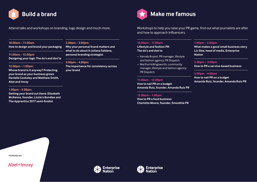

Attend talks and workshops on branding, logo design and much more.

# **10.00am – 11.00am**

**How to design and brand your packaging**

# **11.00am – 12.00pm Designing your logo: The do's and don'ts**

# **12.00pm – 1.00pm**

**Whose brand is it anyway? Protecting your brand as your business grows Danielle Cooksley and Matthew Smith, Abel and Imray**

# **1.00pm – 2.00pm**

**Getting your brand out there: Elizabeth McKenna, founder, Lizzie's Bundles and The Apprentice 2017 semi-finalist**

# **2.00pm – 3.00pm**

**Why your personal brand matters and what to do about it: Juliana Saldana, personal branding strategist**

# **3.00pm – 4.00pm**

**The importance for consistency across your brand**

# **Build a brand Make me famous**

Workshops to help you raise your PR game, find out what journalists are after and how to approach influencers.

# **10.00am – 11.00am Lifestyle and fashion PR: The do's and don'ts**

- Kamala Bryant, PR manager, lifestyle and fashion agency: PR Dispatch
- Martha Hollingsworth, community manager, lifestyle and fashion agency: PR Dispatch

# **11.00am – 12.00pm**

**How to nail PR on a budget Amanda Ruiz, founder, Amanda Ruiz PR**

# **12.00pm – 1.00pm**

**How to PR a food business Charlotte Moore, founder, Smoothie PR**

# **1.00pm – 2.00pm**

**What makes a good small business story Liz Slee, head of media, Enterprise Nation**

# **2.00pm – 3.00pm**

**How to PR a service-based business**

# **3.00pm – 4.00pm**

**How to nail PR on a budget Amanda Ruiz, founder, Amanda Ruiz PR**

**POWERED BY:**

Abel+lmray